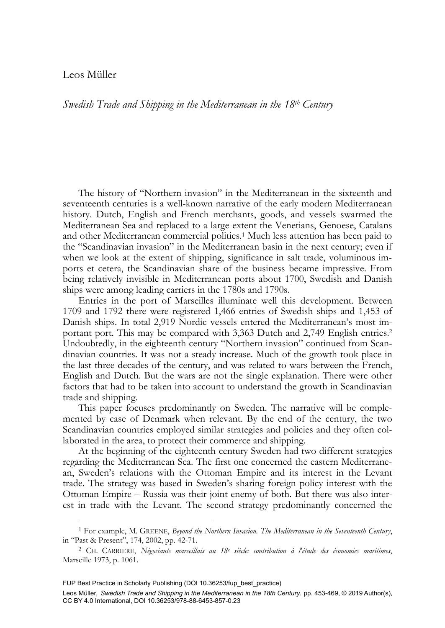# Leos Müller

-

*Swedish Trade and Shipping in the Mediterranean in the 18th Century* 

The history of "Northern invasion" in the Mediterranean in the sixteenth and seventeenth centuries is a well-known narrative of the early modern Mediterranean history. Dutch, English and French merchants, goods, and vessels swarmed the Mediterranean Sea and replaced to a large extent the Venetians, Genoese, Catalans and other Mediterranean commercial polities.1 Much less attention has been paid to the "Scandinavian invasion" in the Mediterranean basin in the next century; even if when we look at the extent of shipping, significance in salt trade, voluminous imports et cetera, the Scandinavian share of the business became impressive. From being relatively invisible in Mediterranean ports about 1700, Swedish and Danish ships were among leading carriers in the 1780s and 1790s.

Entries in the port of Marseilles illuminate well this development. Between 1709 and 1792 there were registered 1,466 entries of Swedish ships and 1,453 of Danish ships. In total 2,919 Nordic vessels entered the Mediterranean's most important port. This may be compared with 3,363 Dutch and 2,749 English entries.<sup>2</sup> Undoubtedly, in the eighteenth century "Northern invasion" continued from Scandinavian countries. It was not a steady increase. Much of the growth took place in the last three decades of the century, and was related to wars between the French, English and Dutch. But the wars are not the single explanation. There were other factors that had to be taken into account to understand the growth in Scandinavian trade and shipping.

This paper focuses predominantly on Sweden. The narrative will be complemented by case of Denmark when relevant. By the end of the century, the two Scandinavian countries employed similar strategies and policies and they often collaborated in the area, to protect their commerce and shipping.

At the beginning of the eighteenth century Sweden had two different strategies regarding the Mediterranean Sea. The first one concerned the eastern Mediterranean, Sweden's relations with the Ottoman Empire and its interest in the Levant trade. The strategy was based in Sweden's sharing foreign policy interest with the Ottoman Empire – Russia was their joint enemy of both. But there was also interest in trade with the Levant. The second strategy predominantly concerned the

<sup>1</sup> For example, M. GREENE, *Beyond the Northern Invasion. The Mediterranean in the Seventeenth Century*,

in "Past & Present", 174, 2002, pp. 42-71. 2 CH. CARRIERE, *Négociants marseillais au 18e siècle: contribution à l'étude des économies maritimes*, Marseille 1973, p. 1061.

FUP Best Practice in Scholarly Publishing (DOI [10.36253/fup\\_best\\_practice\)](https://doi.org/10.36253/fup_best_practice)

Leos Müller*, Swedish Trade and Shipping in the Mediterranean in the 18th Century,* pp. 453-469, © 2019 Author(s), [CC BY 4.0 International](http://creativecommons.org/licenses/by/4.0/legalcode), DOI [10.36253/978-88-6453-857-0.23](https://doi.org/10.36253/978-88-6453-857-0.23)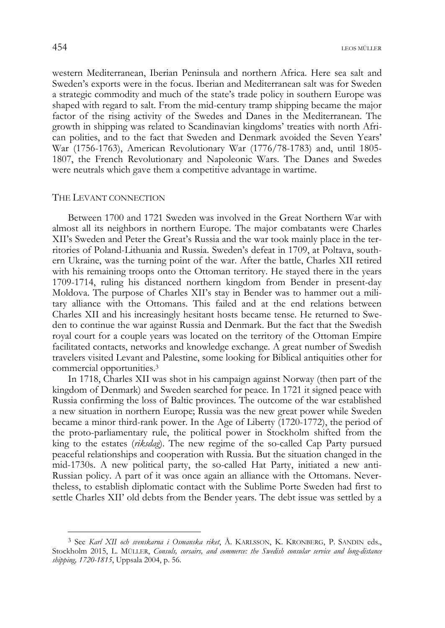western Mediterranean, Iberian Peninsula and northern Africa. Here sea salt and Sweden's exports were in the focus. Iberian and Mediterranean salt was for Sweden a strategic commodity and much of the state's trade policy in southern Europe was shaped with regard to salt. From the mid-century tramp shipping became the major factor of the rising activity of the Swedes and Danes in the Mediterranean. The growth in shipping was related to Scandinavian kingdoms' treaties with north African polities, and to the fact that Sweden and Denmark avoided the Seven Years' War (1756-1763), American Revolutionary War (1776/78-1783) and, until 1805- 1807, the French Revolutionary and Napoleonic Wars. The Danes and Swedes were neutrals which gave them a competitive advantage in wartime.

#### THE LEVANT CONNECTION

Between 1700 and 1721 Sweden was involved in the Great Northern War with almost all its neighbors in northern Europe. The major combatants were Charles XII's Sweden and Peter the Great's Russia and the war took mainly place in the territories of Poland-Lithuania and Russia. Sweden's defeat in 1709, at Poltava, southern Ukraine, was the turning point of the war. After the battle, Charles XII retired with his remaining troops onto the Ottoman territory. He stayed there in the years 1709-1714, ruling his distanced northern kingdom from Bender in present-day Moldova. The purpose of Charles XII's stay in Bender was to hammer out a military alliance with the Ottomans. This failed and at the end relations between Charles XII and his increasingly hesitant hosts became tense. He returned to Sweden to continue the war against Russia and Denmark. But the fact that the Swedish royal court for a couple years was located on the territory of the Ottoman Empire facilitated contacts, networks and knowledge exchange. A great number of Swedish travelers visited Levant and Palestine, some looking for Biblical antiquities other for commercial opportunities.3

In 1718, Charles XII was shot in his campaign against Norway (then part of the kingdom of Denmark) and Sweden searched for peace. In 1721 it signed peace with Russia confirming the loss of Baltic provinces. The outcome of the war established a new situation in northern Europe; Russia was the new great power while Sweden became a minor third-rank power. In the Age of Liberty (1720-1772), the period of the proto-parliamentary rule, the political power in Stockholm shifted from the king to the estates (*riksdag*). The new regime of the so-called Cap Party pursued peaceful relationships and cooperation with Russia. But the situation changed in the mid-1730s. A new political party, the so-called Hat Party, initiated a new anti-Russian policy. A part of it was once again an alliance with the Ottomans. Nevertheless, to establish diplomatic contact with the Sublime Porte Sweden had first to settle Charles XII' old debts from the Bender years. The debt issue was settled by a

<sup>3</sup> See *Karl XII och svenskarna i Osmanska riket*, Å. KARLSSON, K. KRONBERG, P. SANDIN eds., Stockholm 2015, L. MÜLLER, *Consuls, corsairs, and commerce: the Swedish consular service and long-distance shipping, 1720-1815*, Uppsala 2004, p. 56.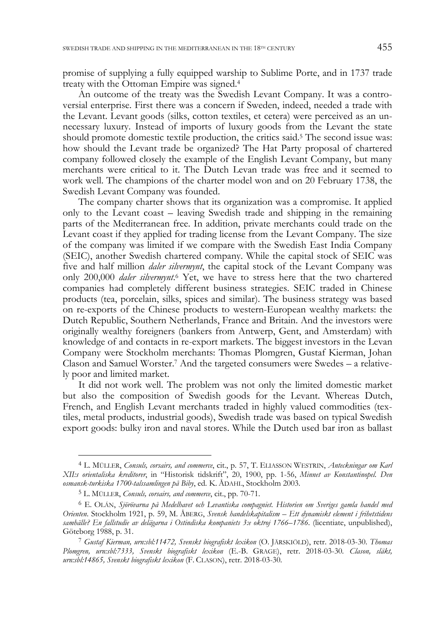promise of supplying a fully equipped warship to Sublime Porte, and in 1737 trade treaty with the Ottoman Empire was signed.4

An outcome of the treaty was the Swedish Levant Company. It was a controversial enterprise. First there was a concern if Sweden, indeed, needed a trade with the Levant. Levant goods (silks, cotton textiles, et cetera) were perceived as an unnecessary luxury. Instead of imports of luxury goods from the Levant the state should promote domestic textile production, the critics said.5 The second issue was: how should the Levant trade be organized? The Hat Party proposal of chartered company followed closely the example of the English Levant Company, but many merchants were critical to it. The Dutch Levan trade was free and it seemed to work well. The champions of the charter model won and on 20 February 1738, the Swedish Levant Company was founded.

The company charter shows that its organization was a compromise. It applied only to the Levant coast – leaving Swedish trade and shipping in the remaining parts of the Mediterranean free. In addition, private merchants could trade on the Levant coast if they applied for trading license from the Levant Company. The size of the company was limited if we compare with the Swedish East India Company (SEIC), another Swedish chartered company. While the capital stock of SEIC was five and half million *daler silvermynt*, the capital stock of the Levant Company was only 200,000 *daler silvermynt*. 6 Yet, we have to stress here that the two chartered companies had completely different business strategies. SEIC traded in Chinese products (tea, porcelain, silks, spices and similar). The business strategy was based on re-exports of the Chinese products to western-European wealthy markets: the Dutch Republic, Southern Netherlands, France and Britain. And the investors were originally wealthy foreigners (bankers from Antwerp, Gent, and Amsterdam) with knowledge of and contacts in re-export markets. The biggest investors in the Levan Company were Stockholm merchants: Thomas Plomgren, Gustaf Kierman, Johan Clason and Samuel Worster.7 And the targeted consumers were Swedes – a relatively poor and limited market.

It did not work well. The problem was not only the limited domestic market but also the composition of Swedish goods for the Levant. Whereas Dutch, French, and English Levant merchants traded in highly valued commodities (textiles, metal products, industrial goods), Swedish trade was based on typical Swedish export goods: bulky iron and naval stores. While the Dutch used bar iron as ballast

<sup>4</sup> L. MÜLLER, *Consuls, corsairs, and commerce*, cit., p. 57, T. ELIASSON WESTRIN, *Anteckningar om Karl XII:s orientaliska kreditorer*, in "Historisk tidskrift", 20, 1900, pp. 1-56, *Minnet av Konstantinopel. Den osmansk-turkiska 1700-talssamlingen på Biby*, ed. K. ÅDAHL, Stockholm 2003.

<sup>5</sup> L. MÜLLER, *Consuls, corsairs, and commerce*, cit., pp. 70-71.

<sup>6</sup> E. OLÁN, *Sjörövarna på Medelhavet och Levantiska compagniet. Historien om Sveriges gamla handel med Orienten*. Stockholm 1921, p. 59, M. ÅBERG, *Svensk handelskapitalism – Ett dynamiskt element i frihetstidens samhälle? En fallstudie av delägarna i Ostindiska kompaniets 3:e oktroj 1766–1786*. (licentiate, unpublished), Göteborg 1988, p. 31. 7 *Gustaf Kierman, urn:sbl:11472, Svenskt biografiskt lexikon* (O. JÄRSKIÖLD), retr. 2018-03-30. *Thomas* 

*Plomgren, urn:sbl:7333, Svenskt biografiskt lexikon* (E.-B. GRAGE), retr. 2018-03-30*. Clason, släkt, urn:sbl:14865, Svenskt biografiskt lexikon* (F. CLASON), retr. 2018-03-30*.*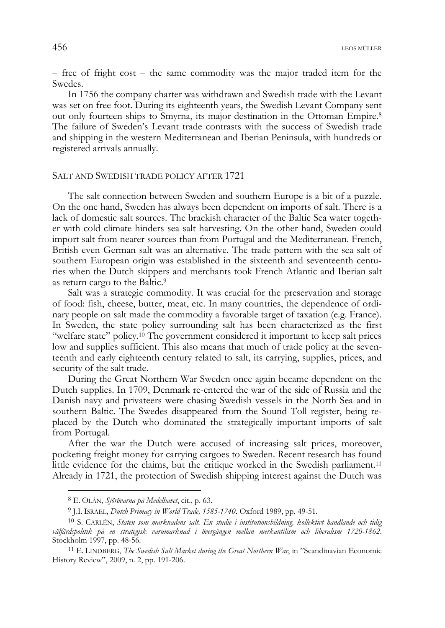– free of fright cost – the same commodity was the major traded item for the Swedes.

In 1756 the company charter was withdrawn and Swedish trade with the Levant was set on free foot. During its eighteenth years, the Swedish Levant Company sent out only fourteen ships to Smyrna, its major destination in the Ottoman Empire.<sup>8</sup> The failure of Sweden's Levant trade contrasts with the success of Swedish trade and shipping in the western Mediterranean and Iberian Peninsula, with hundreds or registered arrivals annually.

## SALT AND SWEDISH TRADE POLICY AFTER 1721

The salt connection between Sweden and southern Europe is a bit of a puzzle. On the one hand, Sweden has always been dependent on imports of salt. There is a lack of domestic salt sources. The brackish character of the Baltic Sea water together with cold climate hinders sea salt harvesting. On the other hand, Sweden could import salt from nearer sources than from Portugal and the Mediterranean. French, British even German salt was an alternative. The trade pattern with the sea salt of southern European origin was established in the sixteenth and seventeenth centuries when the Dutch skippers and merchants took French Atlantic and Iberian salt as return cargo to the Baltic.9

Salt was a strategic commodity. It was crucial for the preservation and storage of food: fish, cheese, butter, meat, etc. In many countries, the dependence of ordinary people on salt made the commodity a favorable target of taxation (e.g. France). In Sweden, the state policy surrounding salt has been characterized as the first "welfare state" policy.10 The government considered it important to keep salt prices low and supplies sufficient. This also means that much of trade policy at the seventeenth and early eighteenth century related to salt, its carrying, supplies, prices, and security of the salt trade.

During the Great Northern War Sweden once again became dependent on the Dutch supplies. In 1709, Denmark re-entered the war of the side of Russia and the Danish navy and privateers were chasing Swedish vessels in the North Sea and in southern Baltic. The Swedes disappeared from the Sound Toll register, being replaced by the Dutch who dominated the strategically important imports of salt from Portugal.

After the war the Dutch were accused of increasing salt prices, moreover, pocketing freight money for carrying cargoes to Sweden. Recent research has found little evidence for the claims, but the critique worked in the Swedish parliament.11 Already in 1721, the protection of Swedish shipping interest against the Dutch was

<sup>8</sup> E. OLÁN, *Sjörövarna på Medelhavet*, cit., p. 63.

<sup>9</sup> J.I. ISRAEL, *Dutch Primacy in World Trade, 1585-1740*. Oxford 1989, pp. 49-51.

<sup>10</sup> S. CARLÉN, *Staten som marknadens salt. En studie i institutionsbildning, kollektivt handlande och tidig välfärdspolitik på en strategisk varumarknad i övergången mellan merkantilism och liberalism 1720-1862*. Stockholm 1997, pp. 48-56. 11 E. LINDBERG, *The Swedish Salt Market during the Great Northern War*, in "Scandinavian Economic

History Review", 2009, n. 2, pp. 191-206.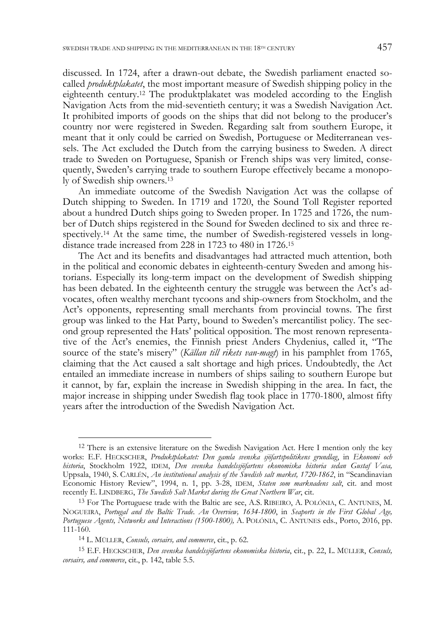discussed. In 1724, after a drawn-out debate, the Swedish parliament enacted socalled *produktplakatet*, the most important measure of Swedish shipping policy in the eighteenth century.12 The produktplakatet was modeled according to the English Navigation Acts from the mid-seventieth century; it was a Swedish Navigation Act. It prohibited imports of goods on the ships that did not belong to the producer's country nor were registered in Sweden. Regarding salt from southern Europe, it meant that it only could be carried on Swedish, Portuguese or Mediterranean vessels. The Act excluded the Dutch from the carrying business to Sweden. A direct trade to Sweden on Portuguese, Spanish or French ships was very limited, consequently, Sweden's carrying trade to southern Europe effectively became a monopoly of Swedish ship owners.13

An immediate outcome of the Swedish Navigation Act was the collapse of Dutch shipping to Sweden. In 1719 and 1720, the Sound Toll Register reported about a hundred Dutch ships going to Sweden proper. In 1725 and 1726, the number of Dutch ships registered in the Sound for Sweden declined to six and three respectively.<sup>14</sup> At the same time, the number of Swedish-registered vessels in longdistance trade increased from 228 in 1723 to 480 in 1726.15

The Act and its benefits and disadvantages had attracted much attention, both in the political and economic debates in eighteenth-century Sweden and among historians. Especially its long-term impact on the development of Swedish shipping has been debated. In the eighteenth century the struggle was between the Act's advocates, often wealthy merchant tycoons and ship-owners from Stockholm, and the Act's opponents, representing small merchants from provincial towns. The first group was linked to the Hat Party, bound to Sweden's mercantilist policy. The second group represented the Hats' political opposition. The most renown representative of the Act's enemies, the Finnish priest Anders Chydenius, called it, "The source of the state's misery" (*Källan till rikets van-magt*) in his pamphlet from 1765, claiming that the Act caused a salt shortage and high prices. Undoubtedly, the Act entailed an immediate increase in numbers of ships sailing to southern Europe but it cannot, by far, explain the increase in Swedish shipping in the area. In fact, the major increase in shipping under Swedish flag took place in 1770-1800, almost fifty years after the introduction of the Swedish Navigation Act.

<sup>&</sup>lt;sup>12</sup> There is an extensive literature on the Swedish Navigation Act. Here I mention only the key works: E.F. HECKSCHER, *Produktplakatet: Den gamla svenska sjöfartspolitikens grundlag*, in *Ekonomi och historia*, Stockholm 1922, IDEM, *Den svenska handelssjöfartens ekonomiska historia sedan Gustaf Vasa,* Uppsala, 1940, S. CARLÉN, *An institutional analysis of the Swedish salt market, 1720-1862*, in "Scandinavian Economic History Review", 1994, n. 1, pp. 3-28, IDEM, *Staten som marknadens salt*, cit. and most recently E. LINDBERG, *The Swedish Salt Market during the Great Northern War*, cit.

<sup>13</sup> For The Portuguese trade with the Baltic are see, A.S. RIBEIRO, A. POLÓNIA, C. ANTUNES, M. NOGUEIRA, *Portugal and the Baltic Trade. An Overview, 1634-1800*, in *Seaports in the First Global Age, Portuguese Agents, Networks and Interactions (1500-1800),* A. POLÓNIA, C. ANTUNES eds., Porto, 2016, pp. 111-160.

<sup>14</sup> L. MÜLLER, *Consuls, corsairs, and commerce*, cit., p. 62.

<sup>15</sup> E.F. HECKSCHER, *Den svenska handelssjöfartens ekonomiska historia*, cit., p. 22, L. MÜLLER, *Consuls, corsairs, and commerce*, cit., p. 142, table 5.5.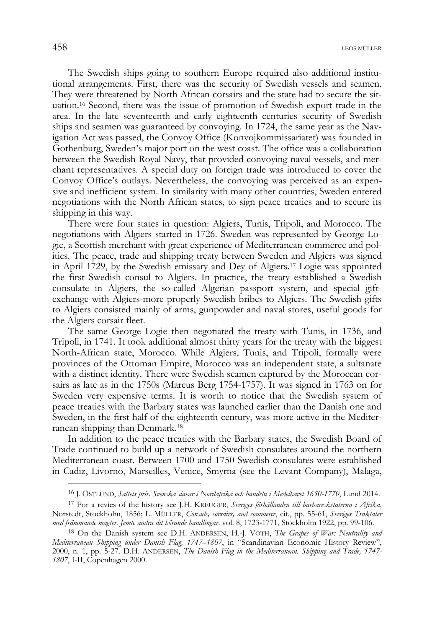The Swedish ships going to southern Europe required also additional institutional arrangements. First, there was the security of Swedish vessels and seamen. They were threatened by North African corsairs and the state had to secure the situation.16 Second, there was the issue of promotion of Swedish export trade in the area. In the late seventeenth and early eighteenth centuries security of Swedish ships and seamen was guaranteed by convoying. In 1724, the same year as the Navigation Act was passed, the Convoy Office (Konvojkommissariatet) was founded in Gothenburg, Sweden's major port on the west coast. The office was a collaboration between the Swedish Royal Navy, that provided convoying naval vessels, and merchant representatives. A special duty on foreign trade was introduced to cover the Convoy Office's outlays. Nevertheless, the convoying was perceived as an expensive and inefficient system. In similarity with many other countries, Sweden entered negotiations with the North African states, to sign peace treaties and to secure its shipping in this way.

There were four states in question: Algiers, Tunis, Tripoli, and Morocco. The negotiations with Algiers started in 1726. Sweden was represented by George Logie, a Scottish merchant with great experience of Mediterranean commerce and politics. The peace, trade and shipping treaty between Sweden and Algiers was signed in April 1729, by the Swedish emissary and Dey of Algiers.17 Logie was appointed the first Swedish consul to Algiers. In practice, the treaty established a Swedish consulate in Algiers, the so-called Algerian passport system, and special giftexchange with Algiers-more properly Swedish bribes to Algiers. The Swedish gifts to Algiers consisted mainly of arms, gunpowder and naval stores, useful goods for the Algiers corsair fleet.

The same George Logie then negotiated the treaty with Tunis, in 1736, and Tripoli, in 1741. It took additional almost thirty years for the treaty with the biggest North-African state, Morocco. While Algiers, Tunis, and Tripoli, formally were provinces of the Ottoman Empire, Morocco was an independent state, a sultanate with a distinct identity. There were Swedish seamen captured by the Moroccan corsairs as late as in the 1750s (Marcus Berg 1754-1757). It was signed in 1763 on for Sweden very expensive terms. It is worth to notice that the Swedish system of peace treaties with the Barbary states was launched earlier than the Danish one and Sweden, in the first half of the eighteenth century, was more active in the Mediterranean shipping than Denmark.18

In addition to the peace treaties with the Barbary states, the Swedish Board of Trade continued to build up a network of Swedish consulates around the northern Mediterranean coast. Between 1700 and 1750 Swedish consulates were established in Cadiz, Livorno, Marseilles, Venice, Smyrna (see the Levant Company), Malaga,

<sup>16</sup> J. ÖSTLUND, *Saltets pris. Svenska slavar i Nordafrika och handeln i Medelhavet 1650-1770*, Lund 2014.

<sup>17</sup> For a revies of the history see J.H. KREUGER, *Sveriges förhållanden till barbareskstaterna i Afrika*, Norstedt, Stockholm, 1856; L. MÜLLER, *Consuls, corsairs, and commerce*, cit., pp. 55-61, *Sveriges Traktater med främmande magter. Jemte andra dit hörande handlingar*. vol. 8, 1723-1771, Stockholm 1922, pp. 99-106.

<sup>18</sup> On the Danish system see D.H. ANDERSEN, H.-J. VOTH, *The Grapes of War: Neutrality and Mediterranean Shipping under Danish Flag, 1747–1807*, in "Scandinavian Economic History Review", 2000, n. 1, pp. 5-27. D.H. ANDERSEN, *The Danish Flag in the Mediterranean. Shipping and Trade, 1747- 1807*, I-II, Copenhagen 2000.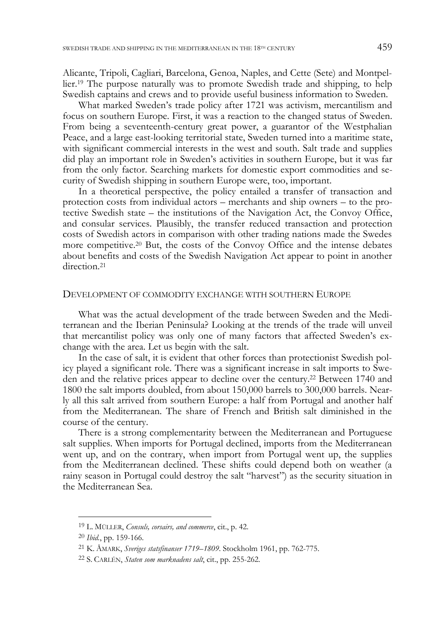Alicante, Tripoli, Cagliari, Barcelona, Genoa, Naples, and Cette (Sete) and Montpellier.19 The purpose naturally was to promote Swedish trade and shipping, to help Swedish captains and crews and to provide useful business information to Sweden.

What marked Sweden's trade policy after 1721 was activism, mercantilism and focus on southern Europe. First, it was a reaction to the changed status of Sweden. From being a seventeenth-century great power, a guarantor of the Westphalian Peace, and a large east-looking territorial state, Sweden turned into a maritime state, with significant commercial interests in the west and south. Salt trade and supplies did play an important role in Sweden's activities in southern Europe, but it was far from the only factor. Searching markets for domestic export commodities and security of Swedish shipping in southern Europe were, too, important.

In a theoretical perspective, the policy entailed a transfer of transaction and protection costs from individual actors – merchants and ship owners – to the protective Swedish state – the institutions of the Navigation Act, the Convoy Office, and consular services. Plausibly, the transfer reduced transaction and protection costs of Swedish actors in comparison with other trading nations made the Swedes more competitive.<sup>20</sup> But, the costs of the Convoy Office and the intense debates about benefits and costs of the Swedish Navigation Act appear to point in another direction.<sup>21</sup>

#### DEVELOPMENT OF COMMODITY EXCHANGE WITH SOUTHERN EUROPE

What was the actual development of the trade between Sweden and the Mediterranean and the Iberian Peninsula? Looking at the trends of the trade will unveil that mercantilist policy was only one of many factors that affected Sweden's exchange with the area. Let us begin with the salt.

In the case of salt, it is evident that other forces than protectionist Swedish policy played a significant role. There was a significant increase in salt imports to Sweden and the relative prices appear to decline over the century.22 Between 1740 and 1800 the salt imports doubled, from about 150,000 barrels to 300,000 barrels. Nearly all this salt arrived from southern Europe: a half from Portugal and another half from the Mediterranean. The share of French and British salt diminished in the course of the century.

There is a strong complementarity between the Mediterranean and Portuguese salt supplies. When imports for Portugal declined, imports from the Mediterranean went up, and on the contrary, when import from Portugal went up, the supplies from the Mediterranean declined. These shifts could depend both on weather (a rainy season in Portugal could destroy the salt "harvest") as the security situation in the Mediterranean Sea.

<sup>19</sup> L. MÜLLER, *Consuls, corsairs, and commerce*, cit., p. 42.

<sup>20</sup> *Ibid.*, pp. 159-166.

<sup>21</sup> K. ÅMARK, *Sveriges statsfinanser 1719–1809*. Stockholm 1961, pp. 762-775.

<sup>22</sup> S. CARLÉN, *Staten som marknadens salt*, cit., pp. 255-262.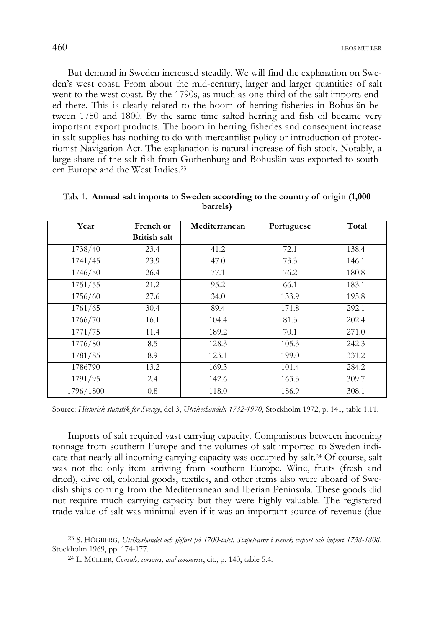But demand in Sweden increased steadily. We will find the explanation on Sweden's west coast. From about the mid-century, larger and larger quantities of salt went to the west coast. By the 1790s, as much as one-third of the salt imports ended there. This is clearly related to the boom of herring fisheries in Bohuslän between 1750 and 1800. By the same time salted herring and fish oil became very important export products. The boom in herring fisheries and consequent increase in salt supplies has nothing to do with mercantilist policy or introduction of protectionist Navigation Act. The explanation is natural increase of fish stock. Notably, a large share of the salt fish from Gothenburg and Bohuslän was exported to southern Europe and the West Indies.23

| Year      | French or           | Mediterranean | Portuguese | Total |
|-----------|---------------------|---------------|------------|-------|
|           | <b>British salt</b> |               |            |       |
| 1738/40   | 23.4                | 41.2          | 72.1       | 138.4 |
| 1741/45   | 23.9                | 47.0          | 73.3       | 146.1 |
| 1746/50   | 26.4                | 77.1          | 76.2       | 180.8 |
| 1751/55   | 21.2                | 95.2          | 66.1       | 183.1 |
| 1756/60   | 27.6                | 34.0          | 133.9      | 195.8 |
| 1761/65   | 30.4                | 89.4          | 171.8      | 292.1 |
| 1766/70   | 16.1                | 104.4         | 81.3       | 202.4 |
| 1771/75   | 11.4                | 189.2         | 70.1       | 271.0 |
| 1776/80   | 8.5                 | 128.3         | 105.3      | 242.3 |
| 1781/85   | 8.9                 | 123.1         | 199.0      | 331.2 |
| 1786790   | 13.2                | 169.3         | 101.4      | 284.2 |
| 1791/95   | 2.4                 | 142.6         | 163.3      | 309.7 |
| 1796/1800 | 0.8                 | 118.0         | 186.9      | 308.1 |

| Tab. 1. Annual salt imports to Sweden according to the country of origin (1,000) |
|----------------------------------------------------------------------------------|
| barrels)                                                                         |

Source: *Historisk statistik för Sverige*, del 3, *Utrikeshandeln 1732-1970*, Stockholm 1972, p. 141, table 1.11.

Imports of salt required vast carrying capacity. Comparisons between incoming tonnage from southern Europe and the volumes of salt imported to Sweden indicate that nearly all incoming carrying capacity was occupied by salt.24 Of course, salt was not the only item arriving from southern Europe. Wine, fruits (fresh and dried), olive oil, colonial goods, textiles, and other items also were aboard of Swedish ships coming from the Mediterranean and Iberian Peninsula. These goods did not require much carrying capacity but they were highly valuable. The registered trade value of salt was minimal even if it was an important source of revenue (due

<sup>23</sup> S. HÖGBERG, *Utrikeshandel och sjöfart på 1700-talet. Stapelvaror i svensk export och import 1738-1808*. Stockholm 1969, pp. 174-177.

<sup>24</sup> L. MÜLLER, *Consuls, corsairs, and commerce*, cit., p. 140, table 5.4.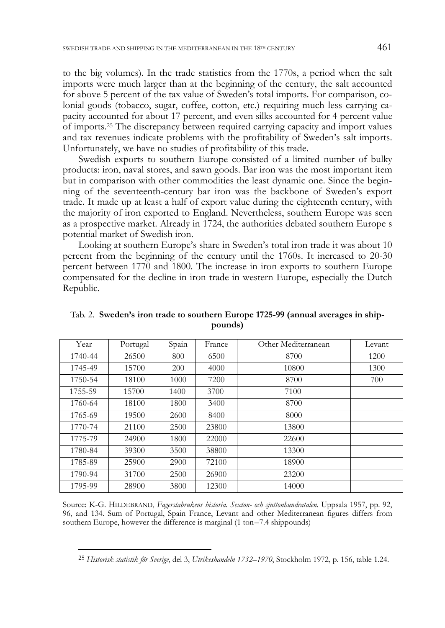to the big volumes). In the trade statistics from the 1770s, a period when the salt imports were much larger than at the beginning of the century, the salt accounted for above 5 percent of the tax value of Sweden's total imports. For comparison, colonial goods (tobacco, sugar, coffee, cotton, etc.) requiring much less carrying capacity accounted for about 17 percent, and even silks accounted for 4 percent value of imports.25 The discrepancy between required carrying capacity and import values and tax revenues indicate problems with the profitability of Sweden's salt imports. Unfortunately, we have no studies of profitability of this trade.

Swedish exports to southern Europe consisted of a limited number of bulky products: iron, naval stores, and sawn goods. Bar iron was the most important item but in comparison with other commodities the least dynamic one. Since the beginning of the seventeenth-century bar iron was the backbone of Sweden's export trade. It made up at least a half of export value during the eighteenth century, with the majority of iron exported to England. Nevertheless, southern Europe was seen as a prospective market. Already in 1724, the authorities debated southern Europe s potential market of Swedish iron.

Looking at southern Europe's share in Sweden's total iron trade it was about 10 percent from the beginning of the century until the 1760s. It increased to 20-30 percent between 1770 and 1800. The increase in iron exports to southern Europe compensated for the decline in iron trade in western Europe, especially the Dutch Republic.

| Year    | Portugal | Spain | France | Other Mediterranean | Levant |
|---------|----------|-------|--------|---------------------|--------|
| 1740-44 | 26500    | 800   | 6500   | 8700                | 1200   |
| 1745-49 | 15700    | 200   | 4000   | 10800               | 1300   |
| 1750-54 | 18100    | 1000  | 7200   | 8700                | 700    |
| 1755-59 | 15700    | 1400  | 3700   | 7100                |        |
| 1760-64 | 18100    | 1800  | 3400   | 8700                |        |
| 1765-69 | 19500    | 2600  | 8400   | 8000                |        |
| 1770-74 | 21100    | 2500  | 23800  | 13800               |        |
| 1775-79 | 24900    | 1800  | 22000  | 22600               |        |
| 1780-84 | 39300    | 3500  | 38800  | 13300               |        |
| 1785-89 | 25900    | 2900  | 72100  | 18900               |        |
| 1790-94 | 31700    | 2500  | 26900  | 23200               |        |
| 1795-99 | 28900    | 3800  | 12300  | 14000               |        |

Tab. 2. **Sweden's iron trade to southern Europe 1725-99 (annual averages in shippounds)** 

Source: K-G. HILDEBRAND, *Fagerstabrukens historia. Sexton- och sjuttonhundratalen*. Uppsala 1957, pp. 92, 96, and 134. Sum of Portugal, Spain France, Levant and other Mediterranean figures differs from southern Europe, however the difference is marginal (1 ton=7.4 shippounds)

<sup>25</sup> *Historisk statistik för Sverige*, del 3, *Utrikeshandeln 1732–1970*, Stockholm 1972, p. 156, table 1.24.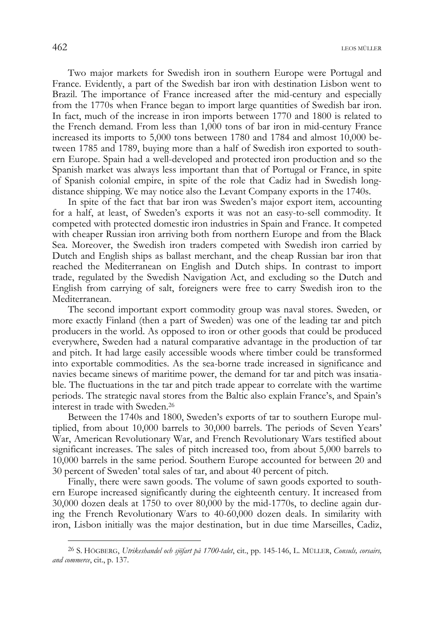Two major markets for Swedish iron in southern Europe were Portugal and France. Evidently, a part of the Swedish bar iron with destination Lisbon went to Brazil. The importance of France increased after the mid-century and especially from the 1770s when France began to import large quantities of Swedish bar iron. In fact, much of the increase in iron imports between 1770 and 1800 is related to the French demand. From less than 1,000 tons of bar iron in mid-century France increased its imports to 5,000 tons between 1780 and 1784 and almost 10,000 between 1785 and 1789, buying more than a half of Swedish iron exported to southern Europe. Spain had a well-developed and protected iron production and so the Spanish market was always less important than that of Portugal or France, in spite of Spanish colonial empire, in spite of the role that Cadiz had in Swedish longdistance shipping. We may notice also the Levant Company exports in the 1740s.

In spite of the fact that bar iron was Sweden's major export item, accounting for a half, at least, of Sweden's exports it was not an easy-to-sell commodity. It competed with protected domestic iron industries in Spain and France. It competed with cheaper Russian iron arriving both from northern Europe and from the Black Sea. Moreover, the Swedish iron traders competed with Swedish iron carried by Dutch and English ships as ballast merchant, and the cheap Russian bar iron that reached the Mediterranean on English and Dutch ships. In contrast to import trade, regulated by the Swedish Navigation Act, and excluding so the Dutch and English from carrying of salt, foreigners were free to carry Swedish iron to the Mediterranean.

The second important export commodity group was naval stores. Sweden, or more exactly Finland (then a part of Sweden) was one of the leading tar and pitch producers in the world. As opposed to iron or other goods that could be produced everywhere, Sweden had a natural comparative advantage in the production of tar and pitch. It had large easily accessible woods where timber could be transformed into exportable commodities. As the sea-borne trade increased in significance and navies became sinews of maritime power, the demand for tar and pitch was insatiable. The fluctuations in the tar and pitch trade appear to correlate with the wartime periods. The strategic naval stores from the Baltic also explain France's, and Spain's interest in trade with Sweden.26

Between the 1740s and 1800, Sweden's exports of tar to southern Europe multiplied, from about 10,000 barrels to 30,000 barrels. The periods of Seven Years' War, American Revolutionary War, and French Revolutionary Wars testified about significant increases. The sales of pitch increased too, from about 5,000 barrels to 10,000 barrels in the same period. Southern Europe accounted for between 20 and 30 percent of Sweden' total sales of tar, and about 40 percent of pitch.

Finally, there were sawn goods. The volume of sawn goods exported to southern Europe increased significantly during the eighteenth century. It increased from 30,000 dozen deals at 1750 to over 80,000 by the mid-1770s, to decline again during the French Revolutionary Wars to 40-60,000 dozen deals. In similarity with iron, Lisbon initially was the major destination, but in due time Marseilles, Cadiz,

<sup>26</sup> S. HÖGBERG, *Utrikeshandel och sjöfart på 1700-talet*, cit., pp. 145-146, L. MÜLLER, *Consuls, corsairs, and commerce*, cit., p. 137.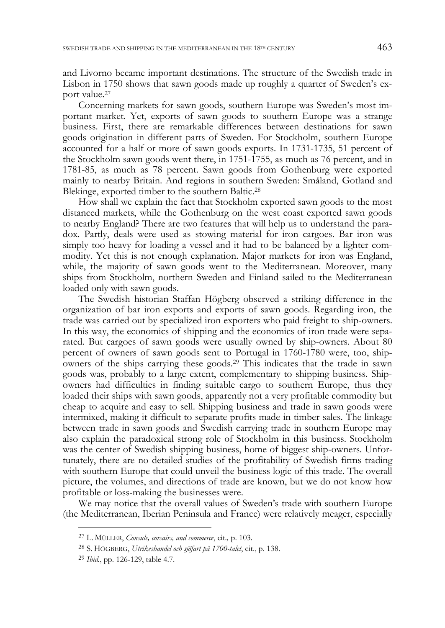and Livorno became important destinations. The structure of the Swedish trade in Lisbon in 1750 shows that sawn goods made up roughly a quarter of Sweden's export value.27

Concerning markets for sawn goods, southern Europe was Sweden's most important market. Yet, exports of sawn goods to southern Europe was a strange business. First, there are remarkable differences between destinations for sawn goods origination in different parts of Sweden. For Stockholm, southern Europe accounted for a half or more of sawn goods exports. In 1731-1735, 51 percent of the Stockholm sawn goods went there, in 1751-1755, as much as 76 percent, and in 1781-85, as much as 78 percent. Sawn goods from Gothenburg were exported mainly to nearby Britain. And regions in southern Sweden: Småland, Gotland and Blekinge, exported timber to the southern Baltic.28

How shall we explain the fact that Stockholm exported sawn goods to the most distanced markets, while the Gothenburg on the west coast exported sawn goods to nearby England? There are two features that will help us to understand the paradox. Partly, deals were used as stowing material for iron cargoes. Bar iron was simply too heavy for loading a vessel and it had to be balanced by a lighter commodity. Yet this is not enough explanation. Major markets for iron was England, while, the majority of sawn goods went to the Mediterranean. Moreover, many ships from Stockholm, northern Sweden and Finland sailed to the Mediterranean loaded only with sawn goods.

The Swedish historian Staffan Högberg observed a striking difference in the organization of bar iron exports and exports of sawn goods. Regarding iron, the trade was carried out by specialized iron exporters who paid freight to ship-owners. In this way, the economics of shipping and the economics of iron trade were separated. But cargoes of sawn goods were usually owned by ship-owners. About 80 percent of owners of sawn goods sent to Portugal in 1760-1780 were, too, shipowners of the ships carrying these goods.29 This indicates that the trade in sawn goods was, probably to a large extent, complementary to shipping business. Shipowners had difficulties in finding suitable cargo to southern Europe, thus they loaded their ships with sawn goods, apparently not a very profitable commodity but cheap to acquire and easy to sell. Shipping business and trade in sawn goods were intermixed, making it difficult to separate profits made in timber sales. The linkage between trade in sawn goods and Swedish carrying trade in southern Europe may also explain the paradoxical strong role of Stockholm in this business. Stockholm was the center of Swedish shipping business, home of biggest ship-owners. Unfortunately, there are no detailed studies of the profitability of Swedish firms trading with southern Europe that could unveil the business logic of this trade. The overall picture, the volumes, and directions of trade are known, but we do not know how profitable or loss-making the businesses were.

We may notice that the overall values of Sweden's trade with southern Europe (the Mediterranean, Iberian Peninsula and France) were relatively meager, especially

<sup>27</sup> L. MÜLLER, *Consuls, corsairs, and commerce*, cit*.,* p. 103.

<sup>28</sup> S. HÖGBERG, *Utrikeshandel och sjöfart på 1700-talet*, cit., p. 138.

<sup>29</sup> *Ibid.*, pp. 126-129, table 4.7.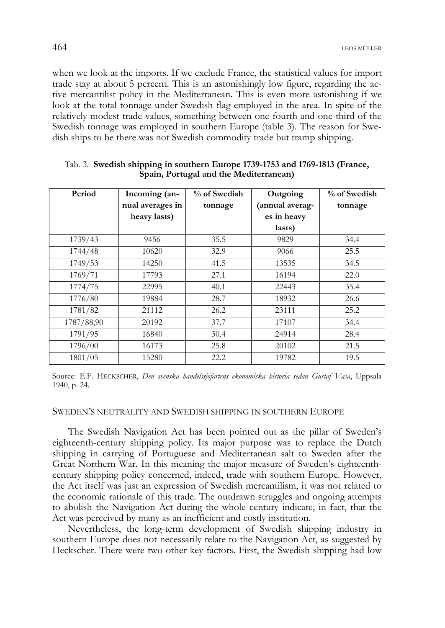when we look at the imports. If we exclude France, the statistical values for import trade stay at about 5 percent. This is an astonishingly low figure, regarding the active mercantilist policy in the Mediterranean. This is even more astonishing if we look at the total tonnage under Swedish flag employed in the area. In spite of the relatively modest trade values, something between one fourth and one-third of the Swedish tonnage was employed in southern Europe (table 3). The reason for Swedish ships to be there was not Swedish commodity trade but tramp shipping.

| Period     | Incoming (an-    | % of Swedish | Outgoing        | % of Swedish |
|------------|------------------|--------------|-----------------|--------------|
|            | nual averages in | tonnage      | (annual averag- | tonnage      |
|            | heavy lasts)     |              | es in heavy     |              |
|            |                  |              | lasts)          |              |
| 1739/43    | 9456             | 35.5         | 9829            | 34.4         |
| 1744/48    | 10620            | 32.9         | 9066            | 25.5         |
| 1749/53    | 14250            | 41.5         | 13535           | 34.5         |
| 1769/71    | 17793            | 27.1         | 16194           | 22.0         |
| 1774/75    | 22995            | 40.1         | 22443           | 35.4         |
| 1776/80    | 19884            | 28.7         | 18932           | 26.6         |
| 1781/82    | 21112            | 26.2         | 23111           | 25.2         |
| 1787/88,90 | 20192            | 37.7         | 17107           | 34.4         |
| 1791/95    | 16840            | 30.4         | 24914           | 28.4         |
| 1796/00    | 16173            | 25.8         | 20102           | 21.5         |
| 1801/05    | 15280            | 22.2         | 19782           | 19.5         |

### Tab. 3. **Swedish shipping in southern Europe 1739-1753 and 1769-1813 (France, Spain, Portugal and the Mediterranean)**

Source: E.F. HECKSCHER, *Den svenska handelssjöfartens ekonomiska historia sedan Gustaf Vasa*, Uppsala 1940, p. 24.

## SWEDEN'S NEUTRALITY AND SWEDISH SHIPPING IN SOUTHERN EUROPE

The Swedish Navigation Act has been pointed out as the pillar of Sweden's eighteenth-century shipping policy. Its major purpose was to replace the Dutch shipping in carrying of Portuguese and Mediterranean salt to Sweden after the Great Northern War. In this meaning the major measure of Sweden's eighteenthcentury shipping policy concerned, indeed, trade with southern Europe. However, the Act itself was just an expression of Swedish mercantilism, it was not related to the economic rationale of this trade. The outdrawn struggles and ongoing attempts to abolish the Navigation Act during the whole century indicate, in fact, that the Act was perceived by many as an inefficient and costly institution.

Nevertheless, the long-term development of Swedish shipping industry in southern Europe does not necessarily relate to the Navigation Act, as suggested by Heckscher. There were two other key factors. First, the Swedish shipping had low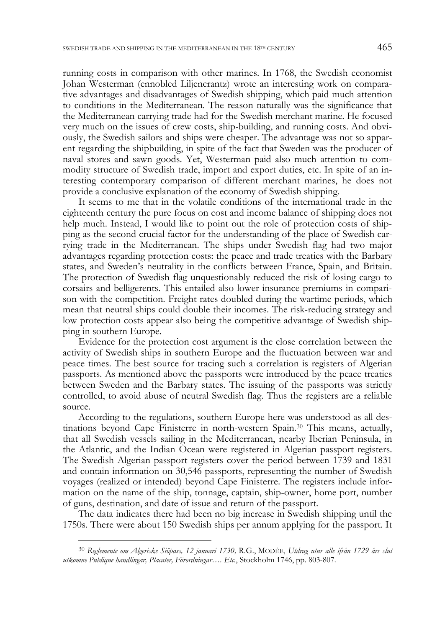running costs in comparison with other marines. In 1768, the Swedish economist Johan Westerman (ennobled Liljencrantz) wrote an interesting work on comparative advantages and disadvantages of Swedish shipping, which paid much attention to conditions in the Mediterranean. The reason naturally was the significance that the Mediterranean carrying trade had for the Swedish merchant marine. He focused very much on the issues of crew costs, ship-building, and running costs. And obviously, the Swedish sailors and ships were cheaper. The advantage was not so apparent regarding the shipbuilding, in spite of the fact that Sweden was the producer of naval stores and sawn goods. Yet, Westerman paid also much attention to commodity structure of Swedish trade, import and export duties, etc. In spite of an interesting contemporary comparison of different merchant marines, he does not provide a conclusive explanation of the economy of Swedish shipping.

It seems to me that in the volatile conditions of the international trade in the eighteenth century the pure focus on cost and income balance of shipping does not help much. Instead, I would like to point out the role of protection costs of shipping as the second crucial factor for the understanding of the place of Swedish carrying trade in the Mediterranean. The ships under Swedish flag had two major advantages regarding protection costs: the peace and trade treaties with the Barbary states, and Sweden's neutrality in the conflicts between France, Spain, and Britain. The protection of Swedish flag unquestionably reduced the risk of losing cargo to corsairs and belligerents. This entailed also lower insurance premiums in comparison with the competition. Freight rates doubled during the wartime periods, which mean that neutral ships could double their incomes. The risk-reducing strategy and low protection costs appear also being the competitive advantage of Swedish shipping in southern Europe.

Evidence for the protection cost argument is the close correlation between the activity of Swedish ships in southern Europe and the fluctuation between war and peace times. The best source for tracing such a correlation is registers of Algerian passports. As mentioned above the passports were introduced by the peace treaties between Sweden and the Barbary states. The issuing of the passports was strictly controlled, to avoid abuse of neutral Swedish flag. Thus the registers are a reliable source.

According to the regulations, southern Europe here was understood as all destinations beyond Cape Finisterre in north-western Spain.30 This means, actually, that all Swedish vessels sailing in the Mediterranean, nearby Iberian Peninsula, in the Atlantic, and the Indian Ocean were registered in Algerian passport registers. The Swedish Algerian passport registers cover the period between 1739 and 1831 and contain information on 30,546 passports, representing the number of Swedish voyages (realized or intended) beyond Cape Finisterre. The registers include information on the name of the ship, tonnage, captain, ship-owner, home port, number of guns, destination, and date of issue and return of the passport.

The data indicates there had been no big increase in Swedish shipping until the 1750s. There were about 150 Swedish ships per annum applying for the passport. It

<sup>30</sup> *Reglemente om Algeriske Siöpass, 12 januari 1730,* R.G., MODÉE, *Utdrag utur alle ifrån 1729 års slut utkomne Publique handlingar, Placater, Förordningar…. Etc.*, Stockholm 1746, pp. 803-807.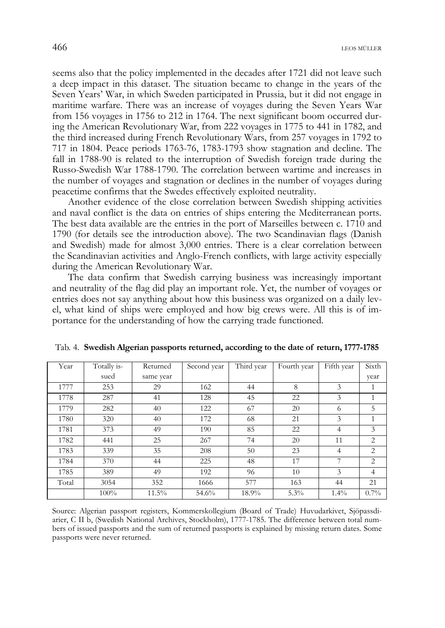seems also that the policy implemented in the decades after 1721 did not leave such a deep impact in this dataset. The situation became to change in the years of the Seven Years' War, in which Sweden participated in Prussia, but it did not engage in maritime warfare. There was an increase of voyages during the Seven Years War from 156 voyages in 1756 to 212 in 1764. The next significant boom occurred during the American Revolutionary War, from 222 voyages in 1775 to 441 in 1782, and the third increased during French Revolutionary Wars, from 257 voyages in 1792 to 717 in 1804. Peace periods 1763-76, 1783-1793 show stagnation and decline. The fall in 1788-90 is related to the interruption of Swedish foreign trade during the Russo-Swedish War 1788-1790. The correlation between wartime and increases in the number of voyages and stagnation or declines in the number of voyages during peacetime confirms that the Swedes effectively exploited neutrality.

Another evidence of the close correlation between Swedish shipping activities and naval conflict is the data on entries of ships entering the Mediterranean ports. The best data available are the entries in the port of Marseilles between c. 1710 and 1790 (for details see the introduction above). The two Scandinavian flags (Danish and Swedish) made for almost 3,000 entries. There is a clear correlation between the Scandinavian activities and Anglo-French conflicts, with large activity especially during the American Revolutionary War.

The data confirm that Swedish carrying business was increasingly important and neutrality of the flag did play an important role. Yet, the number of voyages or entries does not say anything about how this business was organized on a daily level, what kind of ships were employed and how big crews were. All this is of importance for the understanding of how the carrying trade functioned.

| Year  | Totally is- | Returned  | Second year | Third year | Fourth year | Fifth year     | Sixth          |
|-------|-------------|-----------|-------------|------------|-------------|----------------|----------------|
|       | sued        | same year |             |            |             |                | year           |
| 1777  | 253         | 29        | 162         | 44         | 8           | 3              | 1              |
| 1778  | 287         | 41        | 128         | 45         | 22          | 3              | 1              |
| 1779  | 282         | 40        | 122         | 67         | 20          | 6              | 5              |
| 1780  | 320         | 40        | 172         | 68         | 21          | 3              | 1              |
| 1781  | 373         | 49        | 190         | 85         | 22          | $\overline{4}$ | 3              |
| 1782  | 441         | 25        | 267         | 74         | 20          | 11             | 2              |
| 1783  | 339         | 35        | 208         | 50         | 23          | $\overline{4}$ | 2              |
| 1784  | 370         | 44        | 225         | 48         | 17          | 7              | $\overline{2}$ |
| 1785  | 389         | 49        | 192         | 96         | 10          | 3              | $\overline{4}$ |
| Total | 3054        | 352       | 1666        | 577        | 163         | 44             | 21             |
|       | 100%        | 11.5%     | 54.6%       | 18.9%      | 5.3%        | $1.4\%$        | $0.7\%$        |

Tab. 4. **Swedish Algerian passports returned, according to the date of return, 1777-1785** 

Source: Algerian passport registers, Kommerskollegium (Board of Trade) Huvudarkivet, Sjöpassdiarier, C II b, (Swedish National Archives, Stockholm), 1777-1785. The difference between total numbers of issued passports and the sum of returned passports is explained by missing return dates. Some passports were never returned.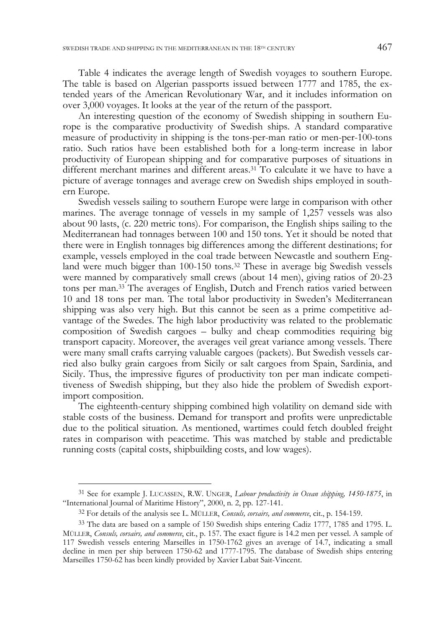Table 4 indicates the average length of Swedish voyages to southern Europe. The table is based on Algerian passports issued between 1777 and 1785, the extended years of the American Revolutionary War, and it includes information on over 3,000 voyages. It looks at the year of the return of the passport.

An interesting question of the economy of Swedish shipping in southern Europe is the comparative productivity of Swedish ships. A standard comparative measure of productivity in shipping is the tons-per-man ratio or men-per-100-tons ratio. Such ratios have been established both for a long-term increase in labor productivity of European shipping and for comparative purposes of situations in different merchant marines and different areas.31 To calculate it we have to have a picture of average tonnages and average crew on Swedish ships employed in southern Europe.

Swedish vessels sailing to southern Europe were large in comparison with other marines. The average tonnage of vessels in my sample of 1,257 vessels was also about 90 lasts, (c. 220 metric tons). For comparison, the English ships sailing to the Mediterranean had tonnages between 100 and 150 tons. Yet it should be noted that there were in English tonnages big differences among the different destinations; for example, vessels employed in the coal trade between Newcastle and southern England were much bigger than 100-150 tons.32 These in average big Swedish vessels were manned by comparatively small crews (about 14 men), giving ratios of 20-23 tons per man.33 The averages of English, Dutch and French ratios varied between 10 and 18 tons per man. The total labor productivity in Sweden's Mediterranean shipping was also very high. But this cannot be seen as a prime competitive advantage of the Swedes. The high labor productivity was related to the problematic composition of Swedish cargoes – bulky and cheap commodities requiring big transport capacity. Moreover, the averages veil great variance among vessels. There were many small crafts carrying valuable cargoes (packets). But Swedish vessels carried also bulky grain cargoes from Sicily or salt cargoes from Spain, Sardinia, and Sicily. Thus, the impressive figures of productivity ton per man indicate competitiveness of Swedish shipping, but they also hide the problem of Swedish exportimport composition.

The eighteenth-century shipping combined high volatility on demand side with stable costs of the business. Demand for transport and profits were unpredictable due to the political situation. As mentioned, wartimes could fetch doubled freight rates in comparison with peacetime. This was matched by stable and predictable running costs (capital costs, shipbuilding costs, and low wages).

<sup>31</sup> See for example J. LUCASSEN, R.W. UNGER, *Labour productivity in Ocean shipping, 1450-1875*, in "International Journal of Maritime History", 2000, n. 2, pp. 127-141.

<sup>32</sup> For details of the analysis see L. MÜLLER, *Consuls, corsairs, and commerce*, cit., p. 154-159.

<sup>33</sup> The data are based on a sample of 150 Swedish ships entering Cadiz 1777, 1785 and 1795. L. MÜLLER, *Consuls, corsairs, and commerce*, cit., p. 157. The exact figure is 14.2 men per vessel. A sample of 117 Swedish vessels entering Marseilles in 1750-1762 gives an average of 14.7, indicating a small decline in men per ship between 1750-62 and 1777-1795. The database of Swedish ships entering Marseilles 1750-62 has been kindly provided by Xavier Labat Sait-Vincent.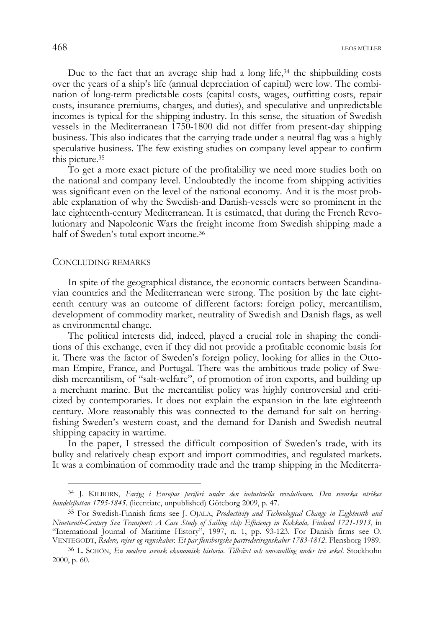Due to the fact that an average ship had a long life, $34$  the shipbuilding costs over the years of a ship's life (annual depreciation of capital) were low. The combination of long-term predictable costs (capital costs, wages, outfitting costs, repair costs, insurance premiums, charges, and duties), and speculative and unpredictable incomes is typical for the shipping industry. In this sense, the situation of Swedish vessels in the Mediterranean 1750-1800 did not differ from present-day shipping business. This also indicates that the carrying trade under a neutral flag was a highly speculative business. The few existing studies on company level appear to confirm this picture.35

To get a more exact picture of the profitability we need more studies both on the national and company level. Undoubtedly the income from shipping activities was significant even on the level of the national economy. And it is the most probable explanation of why the Swedish-and Danish-vessels were so prominent in the late eighteenth-century Mediterranean. It is estimated, that during the French Revolutionary and Napoleonic Wars the freight income from Swedish shipping made a half of Sweden's total export income.36

## CONCLUDING REMARKS

j

In spite of the geographical distance, the economic contacts between Scandinavian countries and the Mediterranean were strong. The position by the late eighteenth century was an outcome of different factors: foreign policy, mercantilism, development of commodity market, neutrality of Swedish and Danish flags, as well as environmental change.

The political interests did, indeed, played a crucial role in shaping the conditions of this exchange, even if they did not provide a profitable economic basis for it. There was the factor of Sweden's foreign policy, looking for allies in the Ottoman Empire, France, and Portugal. There was the ambitious trade policy of Swedish mercantilism, of "salt-welfare", of promotion of iron exports, and building up a merchant marine. But the mercantilist policy was highly controversial and criticized by contemporaries. It does not explain the expansion in the late eighteenth century. More reasonably this was connected to the demand for salt on herringfishing Sweden's western coast, and the demand for Danish and Swedish neutral shipping capacity in wartime.

In the paper, I stressed the difficult composition of Sweden's trade, with its bulky and relatively cheap export and import commodities, and regulated markets. It was a combination of commodity trade and the tramp shipping in the Mediterra-

<sup>34</sup> J. KILBORN, *Fartyg i Europas periferi under den industriella revolutionen. Den svenska utrikes handelsflottan 1795-1845*. (licentiate, unpublished) Göteborg 2009, p. 47.

<sup>35</sup> For Swedish-Finnish firms see J. OJALA, *Productivity and Technological Change in Eighteenth and Nineteenth-Century Sea Transport: A Case Study of Sailing ship Efficiency in Kokkola, Finland 1721-1913*, in "International Journal of Maritime History", 1997, n. 1, pp. 93-123. For Danish firms see O. VENTEGODT, *Redere, rejser og regnskaber. Et par flensborgske partrederiregnskaber 1783-1812*. Flensborg 1989.

<sup>36</sup> L. SCHÖN, *En modern svensk ekonomisk historia. Tillväxt och omvandling under två sekel*. Stockholm 2000, p. 60.